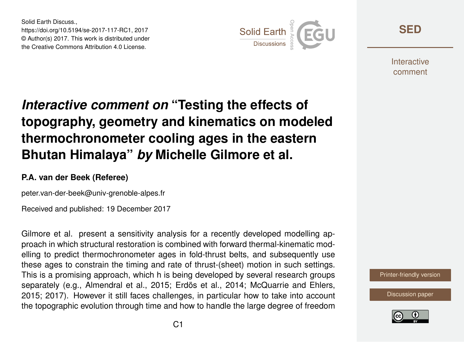Solid Earth Discuss., https://doi.org/10.5194/se-2017-117-RC1, 2017 © Author(s) 2017. This work is distributed under the Creative Commons Attribution 4.0 License.



**[SED](https://www.solid-earth-discuss.net/)**

**Interactive** comment

## *Interactive comment on* **"Testing the effects of topography, geometry and kinematics on modeled thermochronometer cooling ages in the eastern Bhutan Himalaya"** *by* **Michelle Gilmore et al.**

## **P.A. van der Beek (Referee)**

peter.van-der-beek@univ-grenoble-alpes.fr

Received and published: 19 December 2017

Gilmore et al. present a sensitivity analysis for a recently developed modelling approach in which structural restoration is combined with forward thermal-kinematic modelling to predict thermochronometer ages in fold-thrust belts, and subsequently use these ages to constrain the timing and rate of thrust-(sheet) motion in such settings. This is a promising approach, which h is being developed by several research groups separately (e.g., Almendral et al., 2015; Erdös et al., 2014; McQuarrie and Ehlers, 2015; 2017). However it still faces challenges, in particular how to take into account the topographic evolution through time and how to handle the large degree of freedom

[Printer-friendly version](https://www.solid-earth-discuss.net/se-2017-117/se-2017-117-RC1-print.pdf)

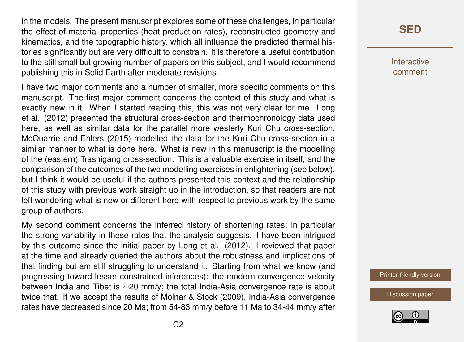in the models. The present manuscript explores some of these challenges, in particular the effect of material properties (heat production rates), reconstructed geometry and kinematics, and the topographic history, which all influence the predicted thermal histories significantly but are very difficult to constrain. It is therefore a useful contribution to the still small but growing number of papers on this subject, and I would recommend publishing this in Solid Earth after moderate revisions.

I have two major comments and a number of smaller, more specific comments on this manuscript. The first major comment concerns the context of this study and what is exactly new in it. When I started reading this, this was not very clear for me. Long et al. (2012) presented the structural cross-section and thermochronology data used here, as well as similar data for the parallel more westerly Kuri Chu cross-section. McQuarrie and Ehlers (2015) modelled the data for the Kuri Chu cross-section in a similar manner to what is done here. What is new in this manuscript is the modelling of the (eastern) Trashigang cross-section. This is a valuable exercise in itself, and the comparison of the outcomes of the two modelling exercises in enlightening (see below), but I think it would be useful if the authors presented this context and the relationship of this study with previous work straight up in the introduction, so that readers are not left wondering what is new or different here with respect to previous work by the same group of authors.

My second comment concerns the inferred history of shortening rates; in particular the strong variability in these rates that the analysis suggests. I have been intrigued by this outcome since the initial paper by Long et al. (2012). I reviewed that paper at the time and already queried the authors about the robustness and implications of that finding but am still struggling to understand it. Starting from what we know (and progressing toward lesser constrained inferences): the modern convergence velocity between India and Tibet is ∼20 mm/y; the total India-Asia convergence rate is about twice that. If we accept the results of Molnar & Stock (2009), India-Asia convergence rates have decreased since 20 Ma; from 54-83 mm/y before 11 Ma to 34-44 mm/y after

**Interactive** comment

[Printer-friendly version](https://www.solid-earth-discuss.net/se-2017-117/se-2017-117-RC1-print.pdf)

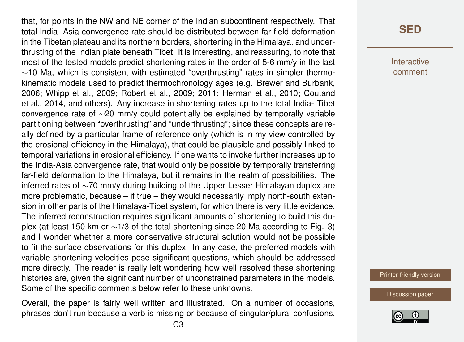that, for points in the NW and NE corner of the Indian subcontinent respectively. That total India- Asia convergence rate should be distributed between far-field deformation in the Tibetan plateau and its northern borders, shortening in the Himalaya, and underthrusting of the Indian plate beneath Tibet. It is interesting, and reassuring, to note that most of the tested models predict shortening rates in the order of 5-6 mm/y in the last  $~\sim$ 10 Ma, which is consistent with estimated "overthrusting" rates in simpler thermokinematic models used to predict thermochronology ages (e.g. Brewer and Burbank, 2006; Whipp et al., 2009; Robert et al., 2009; 2011; Herman et al., 2010; Coutand et al., 2014, and others). Any increase in shortening rates up to the total India- Tibet convergence rate of ∼20 mm/y could potentially be explained by temporally variable partitioning between "overthrusting" and "underthrusting"; since these concepts are really defined by a particular frame of reference only (which is in my view controlled by the erosional efficiency in the Himalaya), that could be plausible and possibly linked to temporal variations in erosional efficiency. If one wants to invoke further increases up to the India-Asia convergence rate, that would only be possible by temporally transferring far-field deformation to the Himalaya, but it remains in the realm of possibilities. The inferred rates of ∼70 mm/y during building of the Upper Lesser Himalayan duplex are more problematic, because – if true – they would necessarily imply north-south extension in other parts of the Himalaya-Tibet system, for which there is very little evidence. The inferred reconstruction requires significant amounts of shortening to build this duplex (at least 150 km or ∼1/3 of the total shortening since 20 Ma according to Fig. 3) and I wonder whether a more conservative structural solution would not be possible to fit the surface observations for this duplex. In any case, the preferred models with variable shortening velocities pose significant questions, which should be addressed more directly. The reader is really left wondering how well resolved these shortening histories are, given the significant number of unconstrained parameters in the models. Some of the specific comments below refer to these unknowns.

Overall, the paper is fairly well written and illustrated. On a number of occasions, phrases don't run because a verb is missing or because of singular/plural confusions. **Interactive** comment

[Printer-friendly version](https://www.solid-earth-discuss.net/se-2017-117/se-2017-117-RC1-print.pdf)

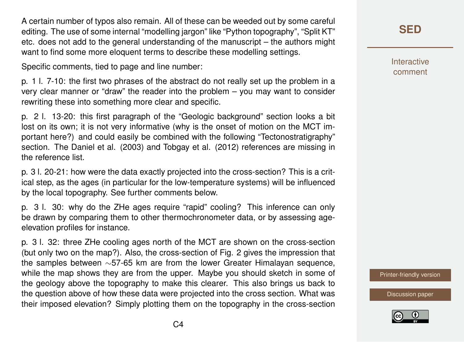A certain number of typos also remain. All of these can be weeded out by some careful editing. The use of some internal "modelling jargon" like "Python topography", "Split KT" etc. does not add to the general understanding of the manuscript – the authors might want to find some more eloquent terms to describe these modelling settings.

Specific comments, tied to page and line number:

p. 1 l. 7-10: the first two phrases of the abstract do not really set up the problem in a very clear manner or "draw" the reader into the problem – you may want to consider rewriting these into something more clear and specific.

p. 2 l. 13-20: this first paragraph of the "Geologic background" section looks a bit lost on its own; it is not very informative (why is the onset of motion on the MCT important here?) and could easily be combined with the following "Tectonostratigraphy" section. The Daniel et al. (2003) and Tobgay et al. (2012) references are missing in the reference list.

p. 3 l. 20-21: how were the data exactly projected into the cross-section? This is a critical step, as the ages (in particular for the low-temperature systems) will be influenced by the local topography. See further comments below.

p. 3 l. 30: why do the ZHe ages require "rapid" cooling? This inference can only be drawn by comparing them to other thermochronometer data, or by assessing ageelevation profiles for instance.

p. 3 l. 32: three ZHe cooling ages north of the MCT are shown on the cross-section (but only two on the map?). Also, the cross-section of Fig. 2 gives the impression that the samples between ∼57-65 km are from the lower Greater Himalayan sequence, while the map shows they are from the upper. Maybe you should sketch in some of the geology above the topography to make this clearer. This also brings us back to the question above of how these data were projected into the cross section. What was their imposed elevation? Simply plotting them on the topography in the cross-section **[SED](https://www.solid-earth-discuss.net/)**

Interactive comment

[Printer-friendly version](https://www.solid-earth-discuss.net/se-2017-117/se-2017-117-RC1-print.pdf)

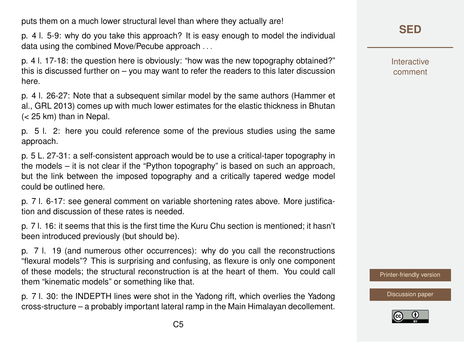puts them on a much lower structural level than where they actually are!

p. 4 l. 5-9: why do you take this approach? It is easy enough to model the individual data using the combined Move/Pecube approach . . .

p. 4 l. 17-18: the question here is obviously: "how was the new topography obtained?" this is discussed further on – you may want to refer the readers to this later discussion here.

p. 4 l. 26-27: Note that a subsequent similar model by the same authors (Hammer et al., GRL 2013) comes up with much lower estimates for the elastic thickness in Bhutan (< 25 km) than in Nepal.

p. 5 l. 2: here you could reference some of the previous studies using the same approach.

p. 5 L. 27-31: a self-consistent approach would be to use a critical-taper topography in the models – it is not clear if the "Python topography" is based on such an approach, but the link between the imposed topography and a critically tapered wedge model could be outlined here.

p. 7 l. 6-17: see general comment on variable shortening rates above. More justification and discussion of these rates is needed.

p. 7 l. 16: it seems that this is the first time the Kuru Chu section is mentioned; it hasn't been introduced previously (but should be).

p. 7 l. 19 (and numerous other occurrences): why do you call the reconstructions "flexural models"? This is surprising and confusing, as flexure is only one component of these models; the structural reconstruction is at the heart of them. You could call them "kinematic models" or something like that.

p. 7 l. 30: the INDEPTH lines were shot in the Yadong rift, which overlies the Yadong cross-structure – a probably important lateral ramp in the Main Himalayan decollement. Interactive comment

[Printer-friendly version](https://www.solid-earth-discuss.net/se-2017-117/se-2017-117-RC1-print.pdf)

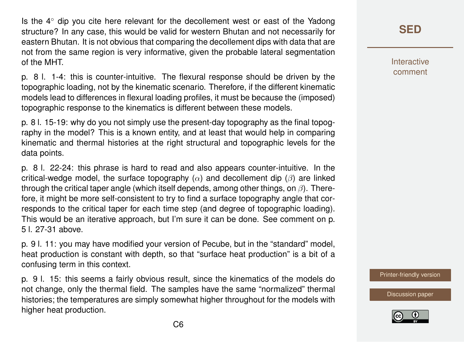Is the 4◦ dip you cite here relevant for the decollement west or east of the Yadong structure? In any case, this would be valid for western Bhutan and not necessarily for eastern Bhutan. It is not obvious that comparing the decollement dips with data that are not from the same region is very informative, given the probable lateral segmentation of the MHT.

p. 8 l. 1-4: this is counter-intuitive. The flexural response should be driven by the topographic loading, not by the kinematic scenario. Therefore, if the different kinematic models lead to differences in flexural loading profiles, it must be because the (imposed) topographic response to the kinematics is different between these models.

p. 8 l. 15-19: why do you not simply use the present-day topography as the final topography in the model? This is a known entity, and at least that would help in comparing kinematic and thermal histories at the right structural and topographic levels for the data points.

p. 8 l. 22-24: this phrase is hard to read and also appears counter-intuitive. In the critical-wedge model, the surface topography  $(\alpha)$  and decollement dip  $(\beta)$  are linked through the critical taper angle (which itself depends, among other things, on  $\beta$ ). Therefore, it might be more self-consistent to try to find a surface topography angle that corresponds to the critical taper for each time step (and degree of topographic loading). This would be an iterative approach, but I'm sure it can be done. See comment on p. 5 l. 27-31 above.

p. 9 l. 11: you may have modified your version of Pecube, but in the "standard" model, heat production is constant with depth, so that "surface heat production" is a bit of a confusing term in this context.

p. 9 l. 15: this seems a fairly obvious result, since the kinematics of the models do not change, only the thermal field. The samples have the same "normalized" thermal histories; the temperatures are simply somewhat higher throughout for the models with higher heat production.

## **[SED](https://www.solid-earth-discuss.net/)**

Interactive comment

[Printer-friendly version](https://www.solid-earth-discuss.net/se-2017-117/se-2017-117-RC1-print.pdf)

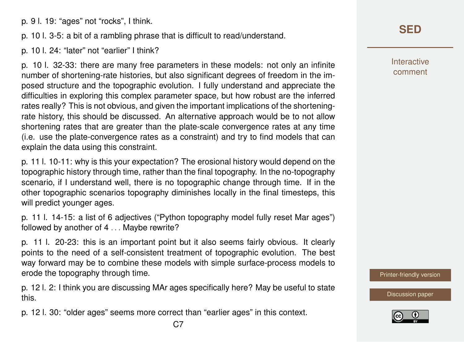p. 9 l. 19: "ages" not "rocks", I think.

p. 10 l. 3-5: a bit of a rambling phrase that is difficult to read/understand.

p. 10 l. 24: "later" not "earlier" I think?

p. 10 l. 32-33: there are many free parameters in these models: not only an infinite number of shortening-rate histories, but also significant degrees of freedom in the imposed structure and the topographic evolution. I fully understand and appreciate the difficulties in exploring this complex parameter space, but how robust are the inferred rates really? This is not obvious, and given the important implications of the shorteningrate history, this should be discussed. An alternative approach would be to not allow shortening rates that are greater than the plate-scale convergence rates at any time (i.e. use the plate-convergence rates as a constraint) and try to find models that can explain the data using this constraint.

p. 11 l. 10-11: why is this your expectation? The erosional history would depend on the topographic history through time, rather than the final topography. In the no-topography scenario, if I understand well, there is no topographic change through time. If in the other topographic scenarios topography diminishes locally in the final timesteps, this will predict younger ages.

p. 11 l. 14-15: a list of 6 adjectives ("Python topography model fully reset Mar ages") followed by another of 4 . . . Maybe rewrite?

p. 11 l. 20-23: this is an important point but it also seems fairly obvious. It clearly points to the need of a self-consistent treatment of topographic evolution. The best way forward may be to combine these models with simple surface-process models to erode the topography through time.

p. 12 l. 2: I think you are discussing MAr ages specifically here? May be useful to state this.

p. 12 l. 30: "older ages" seems more correct than "earlier ages" in this context.

**[SED](https://www.solid-earth-discuss.net/)**

Interactive comment

[Printer-friendly version](https://www.solid-earth-discuss.net/se-2017-117/se-2017-117-RC1-print.pdf)

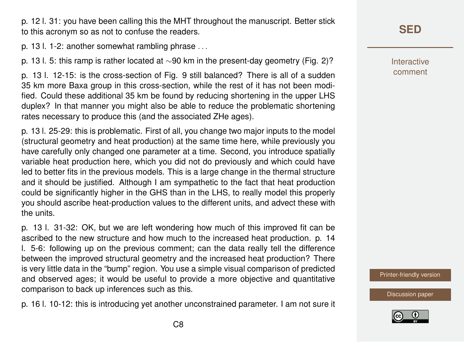p. 12 l. 31: you have been calling this the MHT throughout the manuscript. Better stick to this acronym so as not to confuse the readers.

p. 13 l. 1-2: another somewhat rambling phrase . . .

p. 13 l. 5: this ramp is rather located at ∼90 km in the present-day geometry (Fig. 2)?

p. 13 l. 12-15: is the cross-section of Fig. 9 still balanced? There is all of a sudden 35 km more Baxa group in this cross-section, while the rest of it has not been modified. Could these additional 35 km be found by reducing shortening in the upper LHS duplex? In that manner you might also be able to reduce the problematic shortening rates necessary to produce this (and the associated ZHe ages).

p. 13 l. 25-29: this is problematic. First of all, you change two major inputs to the model (structural geometry and heat production) at the same time here, while previously you have carefully only changed one parameter at a time. Second, you introduce spatially variable heat production here, which you did not do previously and which could have led to better fits in the previous models. This is a large change in the thermal structure and it should be justified. Although I am sympathetic to the fact that heat production could be significantly higher in the GHS than in the LHS, to really model this properly you should ascribe heat-production values to the different units, and advect these with the units.

p. 13 l. 31-32: OK, but we are left wondering how much of this improved fit can be ascribed to the new structure and how much to the increased heat production. p. 14 l. 5-6: following up on the previous comment; can the data really tell the difference between the improved structural geometry and the increased heat production? There is very little data in the "bump" region. You use a simple visual comparison of predicted and observed ages; it would be useful to provide a more objective and quantitative comparison to back up inferences such as this.

p. 16 l. 10-12: this is introducing yet another unconstrained parameter. I am not sure it

## **[SED](https://www.solid-earth-discuss.net/)**

Interactive comment

[Printer-friendly version](https://www.solid-earth-discuss.net/se-2017-117/se-2017-117-RC1-print.pdf)

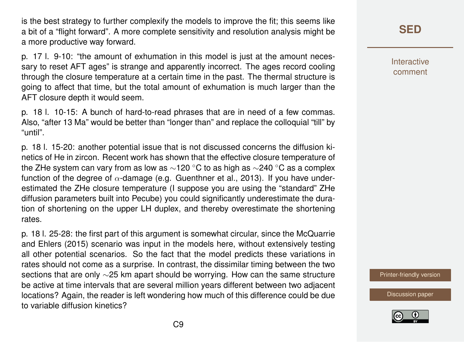is the best strategy to further complexify the models to improve the fit; this seems like a bit of a "flight forward". A more complete sensitivity and resolution analysis might be a more productive way forward.

p. 17 l. 9-10: "the amount of exhumation in this model is just at the amount necessary to reset AFT ages" is strange and apparently incorrect. The ages record cooling through the closure temperature at a certain time in the past. The thermal structure is going to affect that time, but the total amount of exhumation is much larger than the AFT closure depth it would seem.

p. 18 l. 10-15: A bunch of hard-to-read phrases that are in need of a few commas. Also, "after 13 Ma" would be better than "longer than" and replace the colloquial "till" by "until".

p. 18 l. 15-20: another potential issue that is not discussed concerns the diffusion kinetics of He in zircon. Recent work has shown that the effective closure temperature of the ZHe system can vary from as low as  $\sim$ 120 °C to as high as  $\sim$ 240 °C as a complex function of the degree of  $\alpha$ -damage (e.g. Guenthner et al., 2013). If you have underestimated the ZHe closure temperature (I suppose you are using the "standard" ZHe diffusion parameters built into Pecube) you could significantly underestimate the duration of shortening on the upper LH duplex, and thereby overestimate the shortening rates.

p. 18 l. 25-28: the first part of this argument is somewhat circular, since the McQuarrie and Ehlers (2015) scenario was input in the models here, without extensively testing all other potential scenarios. So the fact that the model predicts these variations in rates should not come as a surprise. In contrast, the dissimilar timing between the two sections that are only ∼25 km apart should be worrying. How can the same structure be active at time intervals that are several million years different between two adjacent locations? Again, the reader is left wondering how much of this difference could be due to variable diffusion kinetics?

**[SED](https://www.solid-earth-discuss.net/)**

**Interactive** comment

[Printer-friendly version](https://www.solid-earth-discuss.net/se-2017-117/se-2017-117-RC1-print.pdf)